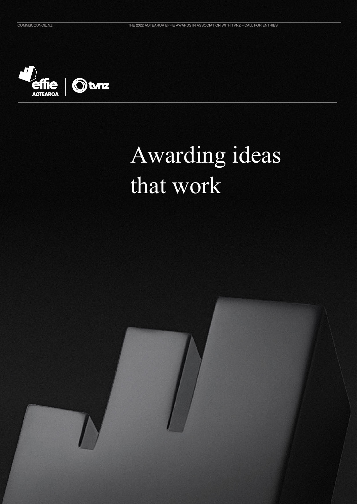

### Awarding ideas that work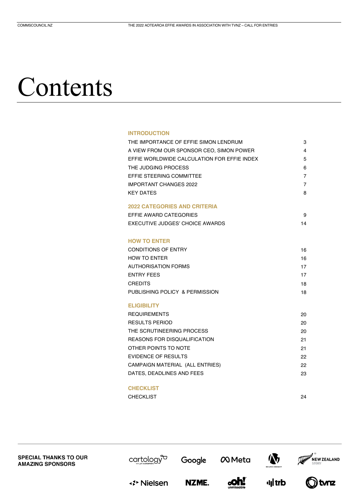### Contents

### **INTRODUCTION**

| THE IMPORTANCE OF EFFIE SIMON LENDRUM       | 3  |
|---------------------------------------------|----|
| A VIEW FROM OUR SPONSOR CEO, SIMON POWER    | 4  |
| EFFIE WORLDWIDE CALCULATION FOR EFFIE INDEX | 5  |
| THE JUDGING PROCESS                         | 6  |
| EFFIE STEERING COMMITTEE                    | 7  |
| <b>IMPORTANT CHANGES 2022</b>               | 7  |
| <b>KEY DATES</b>                            | 8  |
| <b>2022 CATEGORIES AND CRITERIA</b>         |    |
| EFFIE AWARD CATEGORIES                      | 9  |
| EXECUTIVE JUDGES' CHOICE AWARDS             | 14 |
|                                             |    |
| <b>HOW TO ENTER</b>                         |    |
| <b>CONDITIONS OF ENTRY</b>                  | 16 |
| HOW TO FNTFR                                | 16 |
| <b>AUTHORISATION FORMS</b>                  | 17 |
| <b>ENTRY FEES</b>                           | 17 |
| <b>CREDITS</b>                              | 18 |
| PUBLISHING POLICY & PERMISSION              | 18 |
| <b>ELIGIBILITY</b>                          |    |
| <b>REQUIREMENTS</b>                         | 20 |
| <b>RESULTS PERIOD</b>                       | 20 |
| THE SCRUTINEERING PROCESS                   | 20 |
| <b>REASONS FOR DISQUALIFICATION</b>         | 21 |
| OTHER POINTS TO NOTE                        | 21 |
| <b>EVIDENCE OF RESULTS</b>                  | 22 |
| CAMPAIGN MATERIAL (ALL ENTRIES)             | 22 |
| DATES, DEADLINES AND FEES                   | 23 |
| <b>CHECKLIST</b>                            |    |
| <b>CHECKLIST</b>                            | 24 |
|                                             |    |

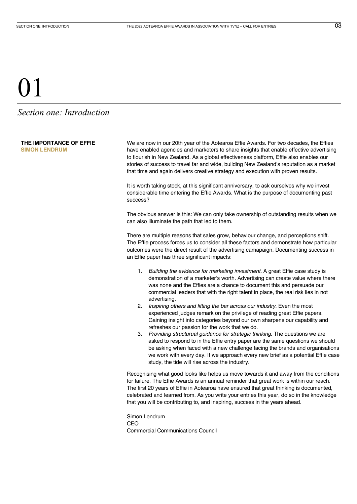### <span id="page-2-0"></span>*Section one: Introduction*

**THE IMPORTANCE OF EFFIE**

**SIMON LENDRUM**

We are now in our 20th year of the Aotearoa Effie Awards. For two decades, the Effies have enabled agencies and marketers to share insights that enable effective advertising to flourish in New Zealand. As a global effectiveness platform, Effie also enables our stories of success to travel far and wide, building New Zealand's reputation as a market that time and again delivers creative strategy and execution with proven results.

It is worth taking stock, at this significant anniversary, to ask ourselves why we invest considerable time entering the Effie Awards. What is the purpose of documenting past success?

The obvious answer is this: We can only take ownership of outstanding results when we can also illuminate the path that led to them.

There are multiple reasons that sales grow, behaviour change, and perceptions shift. The Effie process forces us to consider all these factors and demonstrate how particular outcomes were the direct result of the advertising camapaign. Documenting success in an Effie paper has three significant impacts:

- 1. *Building the evidence for marketing investment.* A great Effie case study is demonstration of a marketer's worth. Advertising can create value where there was none and the Effies are a chance to document this and persuade our commercial leaders that with the right talent in place, the real risk lies in not advertising.
- 2. *Inspiring others and lifting the bar across our industry*. Even the most experienced judges remark on the privilege of reading great Effie papers. Gaining insight into categories beyond our own sharpens our capability and refreshes our passion for the work that we do.
- 3. *Providing structurual guidance for strategic thinking.* The questions we are asked to respond to in the Effie entry paper are the same questions we should be asking when faced with a new challenge facing the brands and organisations we work with every day. If we approach every new brief as a potential Effie case study, the tide will rise across the industry.

Recognising what good looks like helps us move towards it and away from the conditions for failure. The Effie Awards is an annual reminder that great work is within our reach. The first 20 years of Effie in Aotearoa have ensured that great thinking is documented, celebrated and learned from. As you write your entries this year, do so in the knowledge that you will be contributing to, and inspiring, success in the years ahead.

Simon Lendrum CEO Commercial Communications Council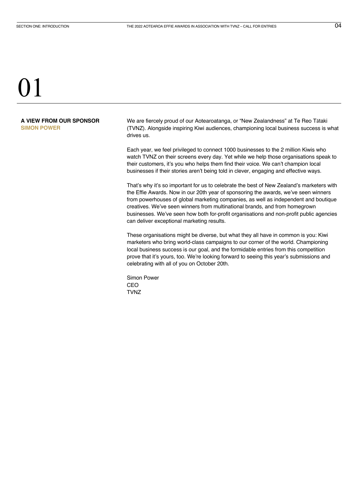### <span id="page-3-0"></span>**A VIEW FROM OUR SPONSOR SIMON POWER**

We are fiercely proud of our Aotearoatanga, or "New Zealandness" at Te Reo Tātaki (TVNZ). Alongside inspiring Kiwi audiences, championing local business success is what drives us.

Each year, we feel privileged to connect 1000 businesses to the 2 million Kiwis who watch TVNZ on their screens every day. Yet while we help those organisations speak to their customers, it's you who helps them find their voice. We can't champion local businesses if their stories aren't being told in clever, engaging and effective ways.

That's why it's so important for us to celebrate the best of New Zealand's marketers with the Effie Awards. Now in our 20th year of sponsoring the awards, we've seen winners from powerhouses of global marketing companies, as well as independent and boutique creatives. We've seen winners from multinational brands, and from homegrown businesses. We've seen how both for-profit organisations and non-profit public agencies can deliver exceptional marketing results.

These organisations might be diverse, but what they all have in common is you: Kiwi marketers who bring world-class campaigns to our corner of the world. Championing local business success is our goal, and the formidable entries from this competition prove that it's yours, too. We're looking forward to seeing this year's submissions and celebrating with all of you on October 20th.

Simon Power CEO **TVNZ**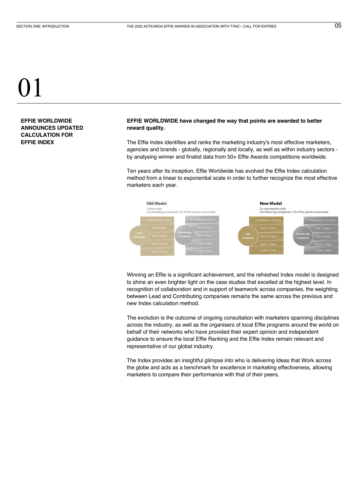<span id="page-4-0"></span>**EFFIE WORLDWIDE ANNOUNCES UPDATED CALCULATION FOR EFFIE INDEX**

### **EFFIE WORLDWIDE have changed the way that points are awarded to better reward quality.**

The Effie Index identifies and ranks the marketing industry's most effective marketers, agencies and brands - globally, regionally and locally, as well as within industry sectors by analysing winner and finalist data from 50+ Effie Awards competitions worldwide.

Ten years after its inception, Effie Worldwide has evolved the Effie Index calculation method from a linear to exponential scale in order to further recognize the most effective marketers each year.



Winning an Effie is a significant achievement, and the refreshed Index model is designed to shine an even brighter light on the case studies that excelled at the highest level. In recognition of collaboration and in support of teamwork across companies, the weighting between Lead and Contributing companies remains the same across the previous and new Index calculation method.

The evolution is the outcome of ongoing consultation with marketers spanning disciplines across the industry, as well as the organisers of local Effie programs around the world on behalf of their networks who have provided their expert opinion and independent guidance to ensure the local Effie Ranking and the Effie Index remain relevant and representative of our global industry.

The Index provides an insightful glimpse into who is delivering Ideas that Work across the globe and acts as a benchmark for excellence in marketing effectiveness, allowing marketers to compare their performance with that of their peers.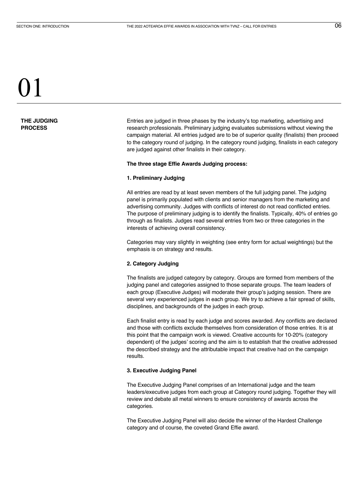### <span id="page-5-0"></span>**THE JUDGING PROCESS**

Entries are judged in three phases by the industry's top marketing, advertising and research professionals. Preliminary judging evaluates submissions without viewing the campaign material. All entries judged are to be of superior quality (finalists) then proceed to the category round of judging. In the category round judging, finalists in each category are judged against other finalists in their category.

### **The three stage Effie Awards Judging process:**

### **1. Preliminary Judging**

All entries are read by at least seven members of the full judging panel. The judging panel is primarily populated with clients and senior managers from the marketing and advertising community. Judges with conflicts of interest do not read conflicted entries. The purpose of preliminary judging is to identify the finalists. Typically, 40% of entries go through as finalists. Judges read several entries from two or three categories in the interests of achieving overall consistency.

Categories may vary slightly in weighting (see entry form for actual weightings) but the emphasis is on strategy and results.

### **2. Category Judging**

The finalists are judged category by category. Groups are formed from members of the judging panel and categories assigned to those separate groups. The team leaders of each group (Executive Judges) will moderate their group's judging session. There are several very experienced judges in each group. We try to achieve a fair spread of skills, disciplines, and backgrounds of the judges in each group.

Each finalist entry is read by each judge and scores awarded. Any conflicts are declared and those with conflicts exclude themselves from consideration of those entries. It is at this point that the campaign work is viewed. Creative accounts for 10-20% (category dependent) of the judges' scoring and the aim is to establish that the creative addressed the described strategy and the attributable impact that creative had on the campaign results.

### **3. Executive Judging Panel**

The Executive Judging Panel comprises of an International judge and the team leaders/executive judges from each group at Category round judging. Together they will review and debate all metal winners to ensure consistency of awards across the categories.

The Executive Judging Panel will also decide the winner of the Hardest Challenge category and of course, the coveted Grand Effie award.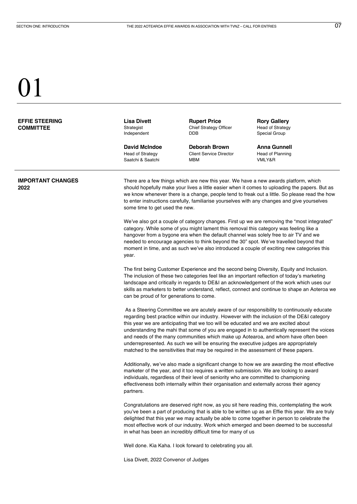<span id="page-6-0"></span>

| <b>EFFIE STEERING</b><br><b>COMMITTEE</b> | <b>Lisa Divett</b><br>Strategist<br>Independent                                                                                                                                                                                                                                                                                                                                                                                                                                                                                                                                                                                                         | <b>Rupert Price</b><br>Chief Strategy Officer<br>DDB                                                                                                                            | <b>Rory Gallery</b><br>Head of Strategy<br>Special Group                                                                                                                                                                                                                                                                                                                                      |
|-------------------------------------------|---------------------------------------------------------------------------------------------------------------------------------------------------------------------------------------------------------------------------------------------------------------------------------------------------------------------------------------------------------------------------------------------------------------------------------------------------------------------------------------------------------------------------------------------------------------------------------------------------------------------------------------------------------|---------------------------------------------------------------------------------------------------------------------------------------------------------------------------------|-----------------------------------------------------------------------------------------------------------------------------------------------------------------------------------------------------------------------------------------------------------------------------------------------------------------------------------------------------------------------------------------------|
|                                           | <b>David McIndoe</b><br><b>Head of Strategy</b><br>Saatchi & Saatchi                                                                                                                                                                                                                                                                                                                                                                                                                                                                                                                                                                                    | <b>Deborah Brown</b><br><b>Client Service Director</b><br>MBM                                                                                                                   | <b>Anna Gunnell</b><br>Head of Planning<br>VMLY&R                                                                                                                                                                                                                                                                                                                                             |
| <b>IMPORTANT CHANGES</b><br>2022          | There are a few things which are new this year. We have a new awards platform, which<br>should hopefully make your lives a little easier when it comes to uploading the papers. But as<br>we know whenever there is a change, people tend to freak out a little. So please read the how<br>to enter instructions carefully, familiarise yourselves with any changes and give yourselves<br>some time to get used the new.                                                                                                                                                                                                                               |                                                                                                                                                                                 |                                                                                                                                                                                                                                                                                                                                                                                               |
|                                           | year.                                                                                                                                                                                                                                                                                                                                                                                                                                                                                                                                                                                                                                                   | category. While some of you might lament this removal this category was feeling like a                                                                                          | We've also got a couple of category changes. First up we are removing the "most integrated"<br>hangover from a bygone era when the default channel was solely free to air TV and we<br>needed to encourage agencies to think beyond the 30" spot. We've travelled beyond that<br>moment in time, and as such we've also introduced a couple of exciting new categories this                   |
|                                           | can be proud of for generations to come.                                                                                                                                                                                                                                                                                                                                                                                                                                                                                                                                                                                                                |                                                                                                                                                                                 | The first being Customer Experience and the second being Diversity, Equity and Inclusion.<br>The inclusion of these two categories feel like an important reflection of today's marketing<br>landscape and critically in regards to DE&I an acknowledgement of the work which uses our<br>skills as marketers to better understand, reflect, connect and continue to shape an Aoteroa we      |
|                                           | As a Steering Committee we are acutely aware of our responsibility to continuously educate<br>regarding best practice within our industry. However with the inclusion of the DE&I category<br>this year we are anticipating that we too will be educated and we are excited about<br>understanding the mahi that some of you are engaged in to authentically represent the voices<br>and needs of the many communities which make up Aotearoa, and whom have often been<br>underrepresented. As such we will be ensuring the executive judges are appropriately<br>matched to the sensitivities that may be required in the assessment of these papers. |                                                                                                                                                                                 |                                                                                                                                                                                                                                                                                                                                                                                               |
|                                           | partners.                                                                                                                                                                                                                                                                                                                                                                                                                                                                                                                                                                                                                                               | marketer of the year, and it too requires a written submission. We are looking to award<br>individuals, regardless of their level of seniority who are committed to championing | Additionally, we've also made a significant change to how we are awarding the most effective<br>effectiveness both internally within their organisation and externally across their agency                                                                                                                                                                                                    |
|                                           |                                                                                                                                                                                                                                                                                                                                                                                                                                                                                                                                                                                                                                                         | in what has been an incredibly difficult time for many of us                                                                                                                    | Congratulations are deserved right now, as you sit here reading this, contemplating the work<br>you've been a part of producing that is able to be written up as an Effie this year. We are truly<br>delighted that this year we may actually be able to come together in person to celebrate the<br>most effective work of our industry. Work which emerged and been deemed to be successful |
|                                           | Lisa Divett, 2022 Convenor of Judges                                                                                                                                                                                                                                                                                                                                                                                                                                                                                                                                                                                                                    | Well done. Kia Kaha. I look forward to celebrating you all.                                                                                                                     |                                                                                                                                                                                                                                                                                                                                                                                               |
|                                           |                                                                                                                                                                                                                                                                                                                                                                                                                                                                                                                                                                                                                                                         |                                                                                                                                                                                 |                                                                                                                                                                                                                                                                                                                                                                                               |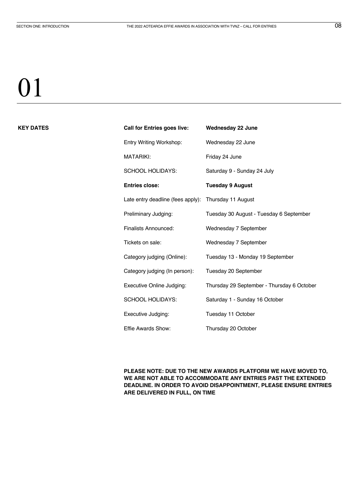### <span id="page-7-0"></span>**KEY DATES Call for Entries goes live: Wednesday 22 June**

| <b>Call for Entries goes live:</b> | <b>Wednesday 22 June</b>                   |
|------------------------------------|--------------------------------------------|
| Entry Writing Workshop:            | Wednesday 22 June                          |
| <b>MATARIKI:</b>                   | Friday 24 June                             |
| <b>SCHOOL HOLIDAYS:</b>            | Saturday 9 - Sunday 24 July                |
| <b>Entries close:</b>              | <b>Tuesday 9 August</b>                    |
| Late entry deadline (fees apply):  | Thursday 11 August                         |
| Preliminary Judging:               | Tuesday 30 August - Tuesday 6 September    |
| Finalists Announced:               | Wednesday 7 September                      |
| Tickets on sale:                   | Wednesday 7 September                      |
| Category judging (Online):         | Tuesday 13 - Monday 19 September           |
| Category judging (In person):      | Tuesday 20 September                       |
| Executive Online Judging:          | Thursday 29 September - Thursday 6 October |
| <b>SCHOOL HOLIDAYS:</b>            | Saturday 1 - Sunday 16 October             |
| Executive Judging:                 | Tuesday 11 October                         |
| Effie Awards Show:                 | Thursday 20 October                        |

**PLEASE NOTE: DUE TO THE NEW AWARDS PLATFORM WE HAVE MOVED TO, WE ARE NOT ABLE TO ACCOMMODATE ANY ENTRIES PAST THE EXTENDED DEADLINE. IN ORDER TO AVOID DISAPPOINTMENT, PLEASE ENSURE ENTRIES ARE DELIVERED IN FULL, ON TIME**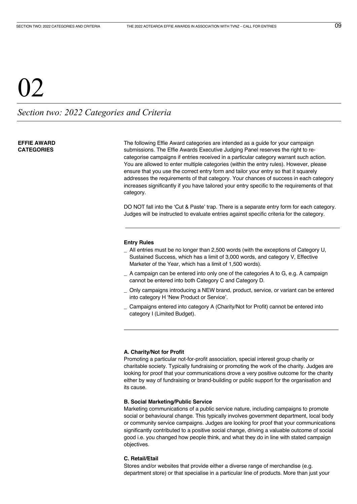### <span id="page-8-0"></span> $Q\bar{Q}$

*Section two: 2022 Categories and Criteria*

### **EFFIE AWARD CATEGORIES**

The following Effie Award categories are intended as a guide for your campaign submissions. The Effie Awards Executive Judging Panel reserves the right to recategorise campaigns if entries received in a particular category warrant such action. You are allowed to enter multiple categories (within the entry rules). However, please ensure that you use the correct entry form and tailor your entry so that it squarely addresses the requirements of that category. Your chances of success in each category increases significantly if you have tailored your entry specific to the requirements of that category.

DO NOT fall into the 'Cut & Paste' trap. There is a separate entry form for each category. Judges will be instructed to evaluate entries against specific criteria for the category.

### **Entry Rules**

- \_ All entries must be no longer than 2,500 words (with the exceptions of Category U, Sustained Success, which has a limit of 3,000 words, and category V, Effective Marketer of the Year, which has a limit of 1,500 words).
- \_ A campaign can be entered into only one of the categories A to G, e.g. A campaign cannot be entered into both Category C and Category D.
- \_ Only campaigns introducing a NEW brand, product, service, or variant can be entered into category H 'New Product or Service'.
- Campaigns entered into category A (Charity/Not for Profit) cannot be entered into category I (Limited Budget).

### **A. Charity/Not for Profit**

Promoting a particular not-for-profit association, special interest group charity or charitable society. Typically fundraising or promoting the work of the charity. Judges are looking for proof that your communications drove a very positive outcome for the charity either by way of fundraising or brand-building or public support for the organisation and its cause.

### **B. Social Marketing/Public Service**

Marketing communications of a public service nature, including campaigns to promote social or behavioural change. This typically involves government department, local body or community service campaigns. Judges are looking for proof that your communications significantly contributed to a positive social change, driving a valuable outcome of social good i.e. you changed how people think, and what they do in line with stated campaign objectives.

### **C. Retail/Etail**

Stores and/or websites that provide either a diverse range of merchandise (e.g. department store) or that specialise in a particular line of products. More than just your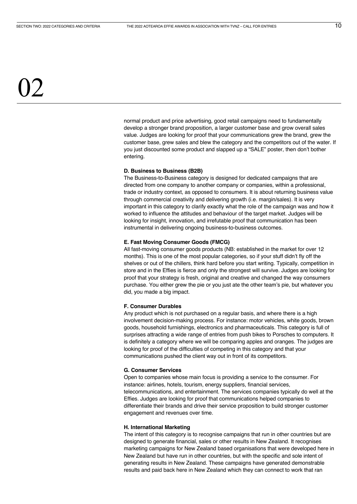normal product and price advertising, good retail campaigns need to fundamentally develop a stronger brand proposition, a larger customer base and grow overall sales value. Judges are looking for proof that your communications grew the brand, grew the customer base, grew sales and blew the category and the competitors out of the water. If you just discounted some product and slapped up a "SALE" poster, then don't bother entering.

### **D. Business to Business (B2B)**

The Business-to-Business category is designed for dedicated campaigns that are directed from one company to another company or companies, within a professional, trade or industry context, as opposed to consumers. It is about returning business value through commercial creativity and delivering growth (i.e. margin/sales). It is very important in this category to clarify exactly what the role of the campaign was and how it worked to influence the attitudes and behaviour of the target market. Judges will be looking for insight, innovation, and irrefutable proof that communication has been instrumental in delivering ongoing business-to-business outcomes.

### **E. Fast Moving Consumer Goods (FMCG)**

All fast-moving consumer goods products (NB: established in the market for over 12 months). This is one of the most popular categories, so if your stuff didn't fly off the shelves or out of the chillers, think hard before you start writing. Typically, competition in store and in the Effies is fierce and only the strongest will survive. Judges are looking for proof that your strategy is fresh, original and creative and changed the way consumers purchase. You either grew the pie or you just ate the other team's pie, but whatever you did, you made a big impact.

#### **F. Consumer Durables**

Any product which is not purchased on a regular basis, and where there is a high involvement decision-making process. For instance: motor vehicles, white goods, brown goods, household furnishings, electronics and pharmaceuticals. This category is full of surprises attracting a wide range of entries from push bikes to Porsches to computers. It is definitely a category where we will be comparing apples and oranges. The judges are looking for proof of the difficulties of competing in this category and that your communications pushed the client way out in front of its competitors.

### **G. Consumer Services**

Open to companies whose main focus is providing a service to the consumer. For instance: airlines, hotels, tourism, energy suppliers, financial services, telecommunications, and entertainment. The services companies typically do well at the Effies. Judges are looking for proof that communications helped companies to differentiate their brands and drive their service proposition to build stronger customer engagement and revenues over time.

### **H. International Marketing**

The intent of this category is to recognise campaigns that run in other countries but are designed to generate financial, sales or other results in New Zealand. It recognises marketing campaigns for New Zealand based organisations that were developed here in New Zealand but have run in other countries, but with the specific and sole intent of generating results in New Zealand. These campaigns have generated demonstrable results and paid back here in New Zealand which they can connect to work that ran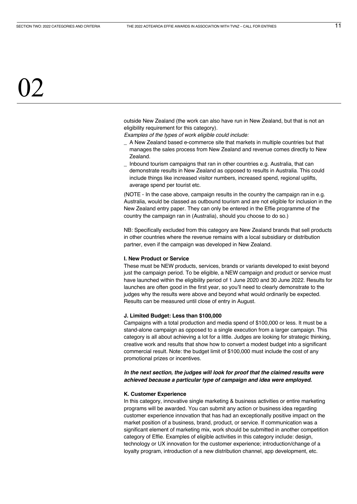outside New Zealand (the work can also have run in New Zealand, but that is not an eligibility requirement for this category).

*Examples of the types of work eligible could include:*

- \_ A New Zealand based e-commerce site that markets in multiple countries but that manages the sales process from New Zealand and revenue comes directly to New Zealand.
- \_ Inbound tourism campaigns that ran in other countries e.g. Australia, that can demonstrate results in New Zealand as opposed to results in Australia. This could include things like increased visitor numbers, increased spend, regional uplifts, average spend per tourist etc.

(NOTE - In the case above, campaign results in the country the campaign ran in e.g. Australia, would be classed as outbound tourism and are not eligible for inclusion in the New Zealand entry paper. They can only be entered in the Effie programme of the country the campaign ran in (Australia), should you choose to do so.)

NB: Specifically excluded from this category are New Zealand brands that sell products in other countries where the revenue remains with a local subsidiary or distribution partner, even if the campaign was developed in New Zealand.

#### **I. New Product or Service**

These must be NEW products, services, brands or variants developed to exist beyond just the campaign period. To be eligible, a NEW campaign and product or service must have launched within the eligibility period of 1 June 2020 and 30 June 2022. Results for launches are often good in the first year, so you'll need to clearly demonstrate to the judges why the results were above and beyond what would ordinarily be expected. Results can be measured until close of entry in August.

### **J. Limited Budget: Less than \$100,000**

Campaigns with a total production and media spend of \$100,000 or less. It must be a stand-alone campaign as opposed to a single execution from a larger campaign. This category is all about achieving a lot for a little. Judges are looking for strategic thinking, creative work and results that show how to convert a modest budget into a significant commercial result. Note: the budget limit of \$100,000 must include the cost of any promotional prizes or incentives.

*In the next section, the judges will look for proof that the claimed results were achieved because a particular type of campaign and idea were employed.*

#### **K. Customer Experience**

In this category, innovative single marketing & business activities or entire marketing programs will be awarded. You can submit any action or business idea regarding customer experience innovation that has had an exceptionally positive impact on the market position of a business, brand, product, or service. If communication was a significant element of marketing mix, work should be submitted in another competition category of Effie. Examples of eligible activities in this category include: design, technology or UX innovation for the customer experience; introduction/change of a loyalty program, introduction of a new distribution channel, app development, etc.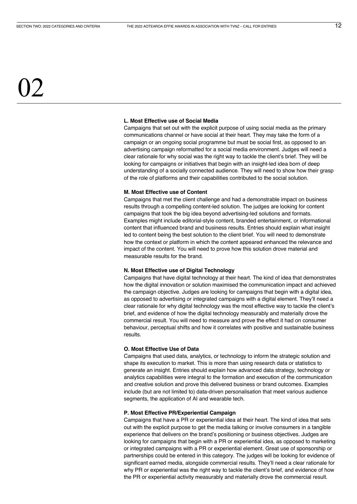# $\mathcal{V}$

### **L. Most Effective use of Social Media**

Campaigns that set out with the explicit purpose of using social media as the primary communications channel or have social at their heart. They may take the form of a campaign or an ongoing social programme but must be social first, as opposed to an advertising campaign reformatted for a social media environment. Judges will need a clear rationale for why social was the right way to tackle the client's brief. They will be looking for campaigns or initiatives that begin with an insight-led idea born of deep understanding of a socially connected audience. They will need to show how their grasp of the role of platforms and their capabilities contributed to the social solution.

#### **M. Most Effective use of Content**

Campaigns that met the client challenge and had a demonstrable impact on business results through a compelling content-led solution. The judges are looking for content campaigns that took the big idea beyond advertising-led solutions and formats. Examples might include editorial-style content, branded entertainment, or informational content that influenced brand and business results. Entries should explain what insight led to content being the best solution to the client brief. You will need to demonstrate how the context or platform in which the content appeared enhanced the relevance and impact of the content. You will need to prove how this solution drove material and measurable results for the brand.

### **N. Most Effective use of Digital Technology**

Campaigns that have digital technology at their heart. The kind of idea that demonstrates how the digital innovation or solution maximised the communication impact and achieved the campaign objective. Judges are looking for campaigns that begin with a digital idea, as opposed to advertising or integrated campaigns with a digital element. They'll need a clear rationale for why digital technology was the most effective way to tackle the client's brief, and evidence of how the digital technology measurably and materially drove the commercial result. You will need to measure and prove the effect it had on consumer behaviour, perceptual shifts and how it correlates with positive and sustainable business results.

### **O. Most Effective Use of Data**

Campaigns that used data, analytics, or technology to inform the strategic solution and shape its execution to market. This is more than using research data or statistics to generate an insight. Entries should explain how advanced data strategy, technology or analytics capabilities were integral to the formation and execution of the communication and creative solution and prove this delivered business or brand outcomes. Examples include (but are not limited to) data-driven personalisation that meet various audience segments, the application of AI and wearable tech.

### **P. Most Effective PR/Experiential Campaign**

Campaigns that have a PR or experiential idea at their heart. The kind of idea that sets out with the explicit purpose to get the media talking or involve consumers in a tangible experience that delivers on the brand's positioning or business objectives. Judges are looking for campaigns that begin with a PR or experiential idea, as opposed to marketing or integrated campaigns with a PR or experiential element. Great use of sponsorship or partnerships could be entered in this category. The judges will be looking for evidence of significant earned media, alongside commercial results. They'll need a clear rationale for why PR or experiential was the right way to tackle the client's brief, and evidence of how the PR or experiential activity measurably and materially drove the commercial result.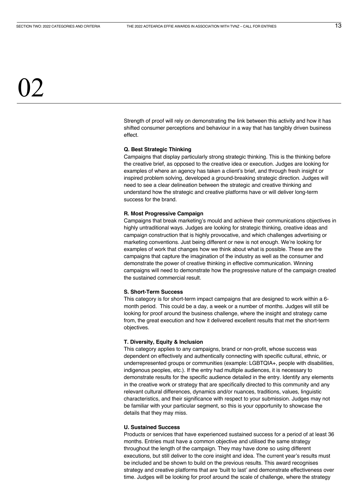Strength of proof will rely on demonstrating the link between this activity and how it has shifted consumer perceptions and behaviour in a way that has tangibly driven business effect.

### **Q. Best Strategic Thinking**

Campaigns that display particularly strong strategic thinking. This is the thinking before the creative brief, as opposed to the creative idea or execution. Judges are looking for examples of where an agency has taken a client's brief, and through fresh insight or inspired problem solving, developed a ground-breaking strategic direction. Judges will need to see a clear delineation between the strategic and creative thinking and understand how the strategic and creative platforms have or will deliver long-term success for the brand.

### **R. Most Progressive Campaign**

Campaigns that break marketing's mould and achieve their communications objectives in highly untraditional ways. Judges are looking for strategic thinking, creative ideas and campaign construction that is highly provocative, and which challenges advertising or marketing conventions. Just being different or new is not enough. We're looking for examples of work that changes how we think about what is possible. These are the campaigns that capture the imagination of the industry as well as the consumer and demonstrate the power of creative thinking in effective communication. Winning campaigns will need to demonstrate how the progressive nature of the campaign created the sustained commercial result.

### **S. Short-Term Success**

This category is for short-term impact campaigns that are designed to work within a 6 month period. This could be a day, a week or a number of months. Judges will still be looking for proof around the business challenge, where the insight and strategy came from, the great execution and how it delivered excellent results that met the short-term objectives.

#### **T. Diversity, Equity & Inclusion**

This category applies to any campaigns, brand or non-profit, whose success was dependent on effectively and authentically connecting with specific cultural, ethnic, or underrepresented groups or communities (example: LGBTQIA+, people with disabilities, indigenous peoples, etc.). If the entry had multiple audiences, it is necessary to demonstrate results for the specific audience detailed in the entry. Identify any elements in the creative work or strategy that are specifically directed to this community and any relevant cultural differences, dynamics and/or nuances, traditions, values, linguistic characteristics, and their significance with respect to your submission. Judges may not be familiar with your particular segment, so this is your opportunity to showcase the details that they may miss.

### **U. Sustained Success**

Products or services that have experienced sustained success for a period of at least 36 months. Entries must have a common objective and utilised the same strategy throughout the length of the campaign. They may have done so using different executions, but still deliver to the core insight and idea. The current year's results must be included and be shown to build on the previous results. This award recognises strategy and creative platforms that are 'built to last' and demonstrate effectiveness over time. Judges will be looking for proof around the scale of challenge, where the strategy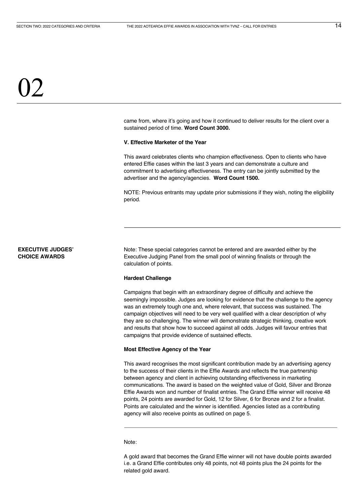<span id="page-13-0"></span>came from, where it's going and how it continued to deliver results for the client over a sustained period of time. **Word Count 3000.**

### **V. Effective Marketer of the Year**

This award celebrates clients who champion effectiveness. Open to clients who have entered Effie cases within the last 3 years and can demonstrate a culture and commitment to advertising effectiveness. The entry can be jointly submitted by the advertiser and the agency/agencies. **Word Count 1500.**

NOTE: Previous entrants may update prior submissions if they wish, noting the eligibility period.

### **EXECUTIVE JUDGES' CHOICE AWARDS**

Note: These special categories cannot be entered and are awarded either by the Executive Judging Panel from the small pool of winning finalists or through the calculation of points.

### **Hardest Challenge**

Campaigns that begin with an extraordinary degree of difficulty and achieve the seemingly impossible. Judges are looking for evidence that the challenge to the agency was an extremely tough one and, where relevant, that success was sustained. The campaign objectives will need to be very well qualified with a clear description of why they are so challenging. The winner will demonstrate strategic thinking, creative work and results that show how to succeed against all odds. Judges will favour entries that campaigns that provide evidence of sustained effects.

### **Most Effective Agency of the Year**

This award recognises the most significant contribution made by an advertising agency to the success of their clients in the Effie Awards and reflects the true partnership between agency and client in achieving outstanding effectiveness in marketing communications. The award is based on the weighted value of Gold, Silver and Bronze Effie Awards won and number of finalist entries. The Grand Effie winner will receive 48 points, 24 points are awarded for Gold, 12 for Silver, 6 for Bronze and 2 for a finalist. Points are calculated and the winner is identified. Agencies listed as a contributing agency will also receive points as outlined on page 5.

### Note:

A gold award that becomes the Grand Effie winner will not have double points awarded i.e. a Grand Effie contributes only 48 points, not 48 points plus the 24 points for the related gold award.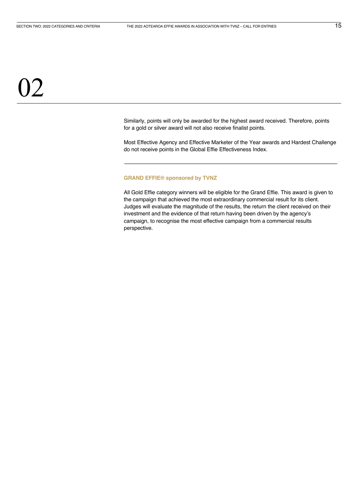Similarly, points will only be awarded for the highest award received. Therefore, points for a gold or silver award will not also receive finalist points.

Most Effective Agency and Effective Marketer of the Year awards and Hardest Challenge do not receive points in the Global Effie Effectiveness Index.

#### **GRAND EFFIE® sponsored by TVNZ**

All Gold Effie category winners will be eligible for the Grand Effie. This award is given to the campaign that achieved the most extraordinary commercial result for its client. Judges will evaluate the magnitude of the results, the return the client received on their investment and the evidence of that return having been driven by the agency's campaign, to recognise the most effective campaign from a commercial results perspective.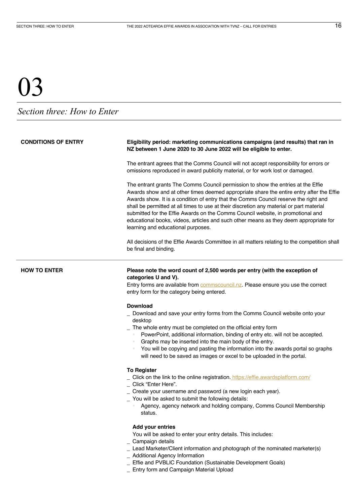### <span id="page-15-0"></span>*Section three: How to Enter*

| <b>CONDITIONS OF ENTRY</b> | Eligibility period: marketing communications campaigns (and results) that ran in<br>NZ between 1 June 2020 to 30 June 2022 will be eligible to enter.                                                                                                                                                                                                                                                                                                                                                                                                                              |  |
|----------------------------|------------------------------------------------------------------------------------------------------------------------------------------------------------------------------------------------------------------------------------------------------------------------------------------------------------------------------------------------------------------------------------------------------------------------------------------------------------------------------------------------------------------------------------------------------------------------------------|--|
|                            | The entrant agrees that the Comms Council will not accept responsibility for errors or<br>omissions reproduced in award publicity material, or for work lost or damaged.                                                                                                                                                                                                                                                                                                                                                                                                           |  |
|                            | The entrant grants The Comms Council permission to show the entries at the Effie<br>Awards show and at other times deemed appropriate share the entire entry after the Effie<br>Awards show. It is a condition of entry that the Comms Council reserve the right and<br>shall be permitted at all times to use at their discretion any material or part material<br>submitted for the Effie Awards on the Comms Council website, in promotional and<br>educational books, videos, articles and such other means as they deem appropriate for<br>learning and educational purposes. |  |
|                            | All decisions of the Effie Awards Committee in all matters relating to the competition shall<br>be final and binding.                                                                                                                                                                                                                                                                                                                                                                                                                                                              |  |
| <b>HOW TO ENTER</b>        | Please note the word count of 2,500 words per entry (with the exception of<br>categories U and V).<br>Entry forms are available from <b>commscouncil.nz</b> . Please ensure you use the correct<br>entry form for the category being entered.                                                                                                                                                                                                                                                                                                                                      |  |
|                            | <b>Download</b>                                                                                                                                                                                                                                                                                                                                                                                                                                                                                                                                                                    |  |
|                            | Download and save your entry forms from the Comms Council website onto your<br>desktop<br>The whole entry must be completed on the official entry form<br>PowerPoint, additional information, binding of entry etc. will not be accepted.                                                                                                                                                                                                                                                                                                                                          |  |
|                            | Graphs may be inserted into the main body of the entry.<br>You will be copying and pasting the information into the awards portal so graphs<br>will need to be saved as images or excel to be uploaded in the portal.                                                                                                                                                                                                                                                                                                                                                              |  |
|                            | <b>To Register</b>                                                                                                                                                                                                                                                                                                                                                                                                                                                                                                                                                                 |  |
|                            | Click on the link to the online registration. https://effie.awardsplatform.com/<br>Click "Enter Here".                                                                                                                                                                                                                                                                                                                                                                                                                                                                             |  |
|                            | _ Create your username and password (a new login each year).                                                                                                                                                                                                                                                                                                                                                                                                                                                                                                                       |  |
|                            | _ You will be asked to submit the following details:<br>Agency, agency network and holding company, Comms Council Membership<br>status.                                                                                                                                                                                                                                                                                                                                                                                                                                            |  |
|                            | <b>Add your entries</b>                                                                                                                                                                                                                                                                                                                                                                                                                                                                                                                                                            |  |
|                            | You will be asked to enter your entry details. This includes:                                                                                                                                                                                                                                                                                                                                                                                                                                                                                                                      |  |
|                            | Campaign details                                                                                                                                                                                                                                                                                                                                                                                                                                                                                                                                                                   |  |
|                            | Lead Marketer/Client information and photograph of the nominated marketer(s)                                                                                                                                                                                                                                                                                                                                                                                                                                                                                                       |  |
|                            | Additional Agency Information<br>Effie and PVBLIC Foundation (Sustainable Development Goals)                                                                                                                                                                                                                                                                                                                                                                                                                                                                                       |  |
|                            | Entry form and Campaign Material Upload                                                                                                                                                                                                                                                                                                                                                                                                                                                                                                                                            |  |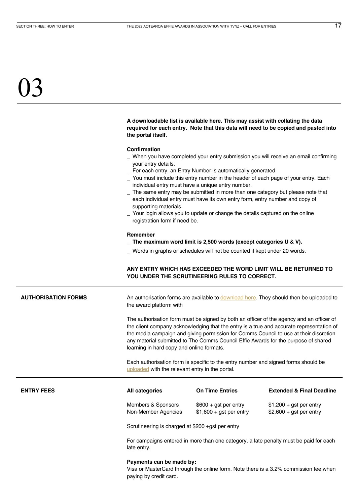<span id="page-16-0"></span>**A downloadable list is available here. This may assist with collating the data required for each entry. Note that this data will need to be copied and pasted into the portal itself.**

### **Confirmation**

- \_ When you have completed your entry submission you will receive an email confirming your entry details.
- \_ For each entry, an Entry Number is automatically generated.
- \_ You must include this entry number in the header of each page of your entry. Each individual entry must have a unique entry number.
- \_ The same entry may be submitted in more than one category but please note that each individual entry must have its own entry form, entry number and copy of supporting materials.
- Your login allows you to update or change the details captured on the online registration form if need be.

#### **Remember**

- \_ **The maximum word limit is 2,500 words (except categories U & V).**
- \_ Words in graphs or schedules will not be counted if kept under 20 words.

### **ANY ENTRY WHICH HAS EXCEEDED THE WORD LIMIT WILL BE RETURNED TO YOU UNDER THE SCRUTINEERING RULES TO CORRECT.**

AUTHORISATION FORMS **An authorisation forms are available to download here**. They should then be uploaded to the award platform with

> The authorisation form must be signed by both an officer of the agency and an officer of the client company acknowledging that the entry is a true and accurate representation of the media campaign and giving permission for Comms Council to use at their discretion any material submitted to The Comms Council Effie Awards for the purpose of shared learning in hard copy and online formats.

Each authorisation form is specific to the entry number and signed forms should be [uploaded](https://effie.awardsplatform.com/) with the relevant entry in the portal.

| <b>ENTRY FEES</b> | All categories      | <b>On Time Entries</b>   | <b>Extended &amp; Final Deadline</b> |
|-------------------|---------------------|--------------------------|--------------------------------------|
|                   | Members & Sponsors  | $$600 + qst$ per entry   | $$1,200 + qst$ per entry             |
|                   | Non-Member Agencies | $$1,600 + qst$ per entry | $$2,600 + qst$ per entry             |

Scrutineering is charged at \$200 +gst per entry

For campaigns entered in more than one category, a late penalty must be paid for each late entry.

### **Payments can be made by:**

Visa or MasterCard through the online form. Note there is a 3.2% commission fee when paying by credit card.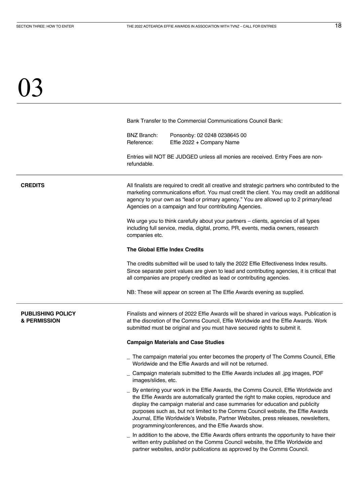<span id="page-17-0"></span>Bank Transfer to the Commercial Communications Council Bank:

BNZ Branch: Ponsonby: 02 0248 0238645 00 Reference: Effie 2022 + Company Name

Entries will NOT BE JUDGED unless all monies are received. Entry Fees are nonrefundable.

**CREDITS** All finalists are required to credit all creative and strategic partners who contributed to the marketing communications effort. You must credit the client. You may credit an additional agency to your own as "lead or primary agency." You are allowed up to 2 primary/lead Agencies on a campaign and four contributing Agencies.

> We urge you to think carefully about your partners – clients, agencies of all types including full service, media, digital, promo, PR, events, media owners, research companies etc.

### **The Global Effie Index Credits**

The credits submitted will be used to tally the 2022 Effie Effectiveness Index results. Since separate point values are given to lead and contributing agencies, it is critical that all companies are properly credited as lead or contributing agencies.

NB: These will appear on screen at The Effie Awards evening as supplied.

### **PUBLISHING POLICY & PERMISSION**

Finalists and winners of 2022 Effie Awards will be shared in various ways. Publication is at the discretion of the Comms Council, Effie Worldwide and the Effie Awards. Work submitted must be original and you must have secured rights to submit it.

#### **Campaign Materials and Case Studies**

- \_ The campaign material you enter becomes the property of The Comms Council, Effie Worldwide and the Effie Awards and will not be returned.
- \_ Campaign materials submitted to the Effie Awards includes all .jpg images, PDF images/slides, etc.
- \_ By entering your work in the Effie Awards, the Comms Council, Effie Worldwide and the Effie Awards are automatically granted the right to make copies, reproduce and display the campaign material and case summaries for education and publicity purposes such as, but not limited to the Comms Council website, the Effie Awards Journal, Effie Worldwide's Website, Partner Websites, press releases, newsletters, programming/conferences, and the Effie Awards show.
- In addition to the above, the Effie Awards offers entrants the opportunity to have their written entry published on the Comms Council website, the Effie Worldwide and partner websites, and/or publications as approved by the Comms Council.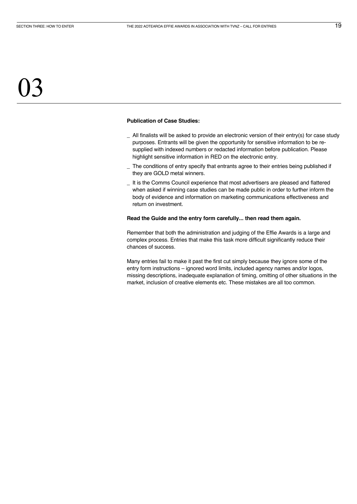### **Publication of Case Studies:**

- \_ All finalists will be asked to provide an electronic version of their entry(s) for case study purposes. Entrants will be given the opportunity for sensitive information to be resupplied with indexed numbers or redacted information before publication. Please highlight sensitive information in RED on the electronic entry.
- \_ The conditions of entry specify that entrants agree to their entries being published if they are GOLD metal winners.
- \_ It is the Comms Council experience that most advertisers are pleased and flattered when asked if winning case studies can be made public in order to further inform the body of evidence and information on marketing communications effectiveness and return on investment.

### **Read the Guide and the entry form carefully... then read them again.**

Remember that both the administration and judging of the Effie Awards is a large and complex process. Entries that make this task more difficult significantly reduce their chances of success.

Many entries fail to make it past the first cut simply because they ignore some of the entry form instructions – ignored word limits, included agency names and/or logos, missing descriptions, inadequate explanation of timing, omitting of other situations in the market, inclusion of creative elements etc. These mistakes are all too common.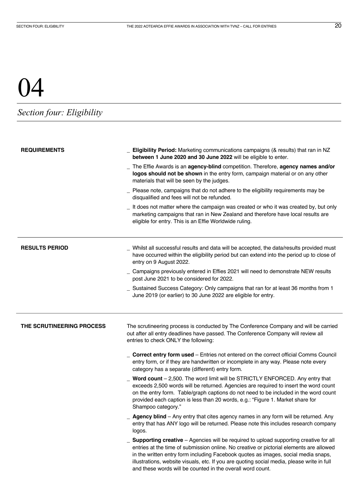### <span id="page-19-0"></span>*Section four: Eligibility*

| <b>REQUIREMENTS</b>       | Eligibility Period: Marketing communications campaigns (& results) that ran in NZ<br>between 1 June 2020 and 30 June 2022 will be eligible to enter.                                                                                                                                                                                                                                                                               |  |
|---------------------------|------------------------------------------------------------------------------------------------------------------------------------------------------------------------------------------------------------------------------------------------------------------------------------------------------------------------------------------------------------------------------------------------------------------------------------|--|
|                           | The Effie Awards is an agency-blind competition. Therefore, agency names and/or<br>logos should not be shown in the entry form, campaign material or on any other<br>materials that will be seen by the judges.                                                                                                                                                                                                                    |  |
|                           | Please note, campaigns that do not adhere to the eligibility requirements may be<br>disqualified and fees will not be refunded.                                                                                                                                                                                                                                                                                                    |  |
|                           | _ It does not matter where the campaign was created or who it was created by, but only<br>marketing campaigns that ran in New Zealand and therefore have local results are<br>eligible for entry. This is an Effie Worldwide ruling.                                                                                                                                                                                               |  |
| <b>RESULTS PERIOD</b>     | Whilst all successful results and data will be accepted, the data/results provided must<br>have occurred within the eligibility period but can extend into the period up to close of<br>entry on 9 August 2022.                                                                                                                                                                                                                    |  |
|                           | _ Campaigns previously entered in Effies 2021 will need to demonstrate NEW results<br>post June 2021 to be considered for 2022.                                                                                                                                                                                                                                                                                                    |  |
|                           | Sustained Success Category: Only campaigns that ran for at least 36 months from 1<br>June 2019 (or earlier) to 30 June 2022 are eligible for entry.                                                                                                                                                                                                                                                                                |  |
| THE SCRUTINEERING PROCESS | The scrutineering process is conducted by The Conference Company and will be carried<br>out after all entry deadlines have passed. The Conference Company will review all<br>entries to check ONLY the following:                                                                                                                                                                                                                  |  |
|                           | <b>Correct entry form used - Entries not entered on the correct official Comms Council</b><br>entry form, or if they are handwritten or incomplete in any way. Please note every<br>category has a separate (different) entry form.                                                                                                                                                                                                |  |
|                           | Word count - 2,500. The word limit will be STRICTLY ENFORCED. Any entry that<br>exceeds 2,500 words will be returned. Agencies are required to insert the word count<br>on the entry form. Table/graph captions do not need to be included in the word count<br>provided each caption is less than 20 words, e.g.: "Figure 1. Market share for<br>Shampoo category."                                                               |  |
|                           | Agency blind - Any entry that cites agency names in any form will be returned. Any<br>entry that has ANY logo will be returned. Please note this includes research company<br>logos.                                                                                                                                                                                                                                               |  |
|                           | Supporting creative - Agencies will be required to upload supporting creative for all<br>entries at the time of submission online. No creative or pictorial elements are allowed<br>in the written entry form including Facebook quotes as images, social media snaps,<br>illustrations, website visuals, etc. If you are quoting social media, please write in full<br>and these words will be counted in the overall word count. |  |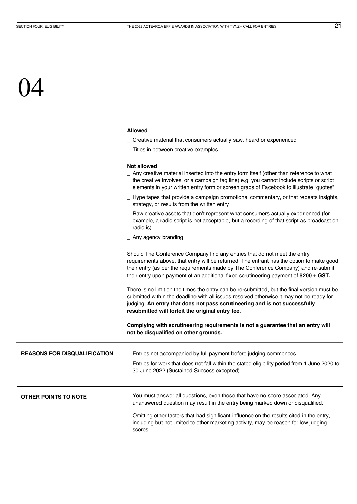### **Allowed**

- \_ Creative material that consumers actually saw, heard or experienced
- \_ Titles in between creative examples

### **Not allowed**

<span id="page-20-0"></span>

|                                     | _ Any creative material inserted into the entry form itself (other than reference to what<br>the creative involves, or a campaign tag line) e.g. you cannot include scripts or script<br>elements in your written entry form or screen grabs of Facebook to illustrate "quotes"                                                                                                                                                                                                                                                                                                                                                                                                                                                                                      |
|-------------------------------------|----------------------------------------------------------------------------------------------------------------------------------------------------------------------------------------------------------------------------------------------------------------------------------------------------------------------------------------------------------------------------------------------------------------------------------------------------------------------------------------------------------------------------------------------------------------------------------------------------------------------------------------------------------------------------------------------------------------------------------------------------------------------|
|                                     | _ Hype tapes that provide a campaign promotional commentary, or that repeats insights,<br>strategy, or results from the written entry                                                                                                                                                                                                                                                                                                                                                                                                                                                                                                                                                                                                                                |
|                                     | _ Raw creative assets that don't represent what consumers actually experienced (for<br>example, a radio script is not acceptable, but a recording of that script as broadcast on<br>radio is)                                                                                                                                                                                                                                                                                                                                                                                                                                                                                                                                                                        |
|                                     | _ Any agency branding                                                                                                                                                                                                                                                                                                                                                                                                                                                                                                                                                                                                                                                                                                                                                |
|                                     | Should The Conference Company find any entries that do not meet the entry<br>requirements above, that entry will be returned. The entrant has the option to make good<br>their entry (as per the requirements made by The Conference Company) and re-submit<br>their entry upon payment of an additional fixed scrutineering payment of \$200 + GST.<br>There is no limit on the times the entry can be re-submitted, but the final version must be<br>submitted within the deadline with all issues resolved otherwise it may not be ready for<br>judging. An entry that does not pass scrutineering and is not successfully<br>resubmitted will forfeit the original entry fee.<br>Complying with scrutineering requirements is not a guarantee that an entry will |
|                                     | not be disqualified on other grounds.                                                                                                                                                                                                                                                                                                                                                                                                                                                                                                                                                                                                                                                                                                                                |
| <b>REASONS FOR DISQUALIFICATION</b> | _ Entries not accompanied by full payment before judging commences.                                                                                                                                                                                                                                                                                                                                                                                                                                                                                                                                                                                                                                                                                                  |
|                                     | Entries for work that does not fall within the stated eligibility period from 1 June 2020 to<br>30 June 2022 (Sustained Success excepted).                                                                                                                                                                                                                                                                                                                                                                                                                                                                                                                                                                                                                           |
| OTHER POINTS TO NOTE                | You must answer all questions, even those that have no score associated. Any<br>unanswered question may result in the entry being marked down or disqualified.                                                                                                                                                                                                                                                                                                                                                                                                                                                                                                                                                                                                       |
|                                     | Omitting other factors that had significant influence on the results cited in the entry,<br>including but not limited to other marketing activity, may be reason for low judging<br>scores.                                                                                                                                                                                                                                                                                                                                                                                                                                                                                                                                                                          |
|                                     |                                                                                                                                                                                                                                                                                                                                                                                                                                                                                                                                                                                                                                                                                                                                                                      |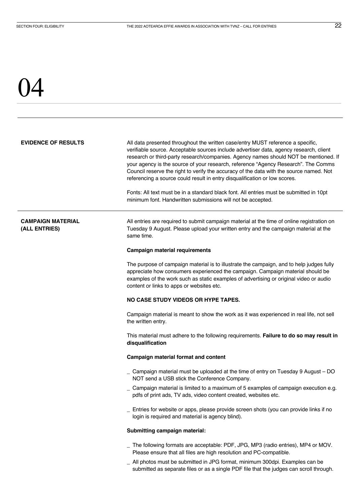<span id="page-21-0"></span>**EVIDENCE OF RESULTS** All data presented throughout the written case/entry MUST reference a specific. verifiable source. Acceptable sources include advertiser data, agency research, client research or third-party research/companies. Agency names should NOT be mentioned. If your agency is the source of your research, reference "Agency Research". The Comms Council reserve the right to verify the accuracy of the data with the source named. Not referencing a source could result in entry disqualification or low scores.

> Fonts: All text must be in a standard black font. All entries must be submitted in 10pt minimum font. Handwritten submissions will not be accepted.

### **CAMPAIGN MATERIAL (ALL ENTRIES)**

All entries are required to submit campaign material at the time of online registration on Tuesday 9 August. Please upload your written entry and the campaign material at the same time.

### **Campaign material requirements**

The purpose of campaign material is to illustrate the campaign, and to help judges fully appreciate how consumers experienced the campaign. Campaign material should be examples of the work such as static examples of advertising or original video or audio content or links to apps or websites etc.

### **NO CASE STUDY VIDEOS OR HYPE TAPES.**

Campaign material is meant to show the work as it was experienced in real life, not sell the written entry.

This material must adhere to the following requirements. **Failure to do so may result in disqualification** 

### **Campaign material format and content**

- \_ Campaign material must be uploaded at the time of entry on Tuesday 9 August DO NOT send a USB stick the Conference Company.
- \_ Campaign material is limited to a maximum of 5 examples of campaign execution e.g. pdfs of print ads, TV ads, video content created, websites etc.
- \_ Entries for website or apps, please provide screen shots (you can provide links if no login is required and material is agency blind).

### **Submitting campaign material:**

- \_ The following formats are acceptable: PDF, JPG, MP3 (radio entries), MP4 or MOV. Please ensure that all files are high resolution and PC-compatible.
- \_ All photos must be submitted in JPG format, minimum 300dpi. Examples can be submitted as separate files or as a single PDF file that the judges can scroll through.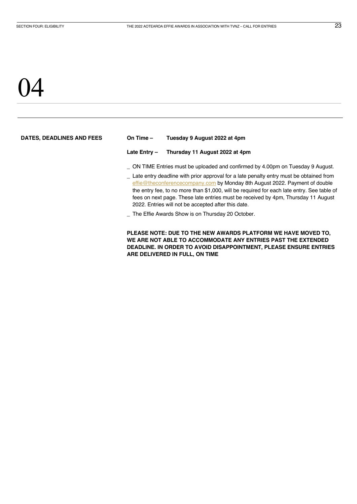### <span id="page-22-0"></span>)4

| DATES, DEADLINES AND FEES | On Time $-$                                                                                                                                                                                                                                                                                                                                                                                                                                                                                          | Tuesday 9 August 2022 at 4pm                     |
|---------------------------|------------------------------------------------------------------------------------------------------------------------------------------------------------------------------------------------------------------------------------------------------------------------------------------------------------------------------------------------------------------------------------------------------------------------------------------------------------------------------------------------------|--------------------------------------------------|
|                           | Late Entry-                                                                                                                                                                                                                                                                                                                                                                                                                                                                                          | Thursday 11 August 2022 at 4pm                   |
|                           | _ ON TIME Entries must be uploaded and confirmed by 4.00pm on Tuesday 9 August.<br>_ Late entry deadline with prior approval for a late penalty entry must be obtained from<br>effie@theconferencecompany.com by Monday 8th August 2022. Payment of double<br>the entry fee, to no more than \$1,000, will be required for each late entry. See table of<br>fees on next page. These late entries must be received by 4pm, Thursday 11 August<br>2022. Entries will not be accepted after this date. |                                                  |
|                           |                                                                                                                                                                                                                                                                                                                                                                                                                                                                                                      | The Effie Awards Show is on Thursday 20 October. |

**PLEASE NOTE: DUE TO THE NEW AWARDS PLATFORM WE HAVE MOVED TO, WE ARE NOT ABLE TO ACCOMMODATE ANY ENTRIES PAST THE EXTENDED DEADLINE. IN ORDER TO AVOID DISAPPOINTMENT, PLEASE ENSURE ENTRIES ARE DELIVERED IN FULL, ON TIME**